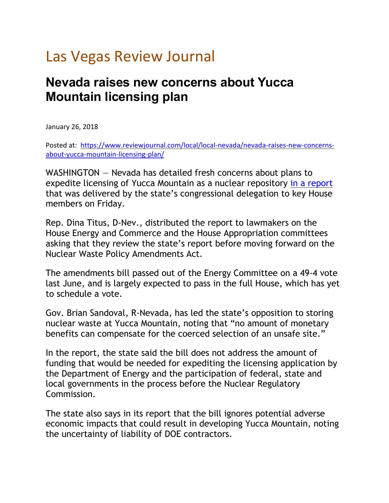## Las Vegas Review Journal

## **Nevada raises new concerns about Yucca Mountain licensing plan**

January 26, 2018

Posted at: [https://www.reviewjournal.com/local/local-nevada/nevada-raises-new-concerns](https://www.reviewjournal.com/local/local-nevada/nevada-raises-new-concerns-about-yucca-mountain-licensing-plan/)[about-yucca-mountain-licensing-plan/](https://www.reviewjournal.com/local/local-nevada/nevada-raises-new-concerns-about-yucca-mountain-licensing-plan/)

WASHINGTON — Nevada has detailed fresh concerns about plans to expedite licensing of Yucca Mountain as a nuclear repository [in a report](http://yuccamountain.org/pdf/nanp180119hr3053fc.pdf) that was delivered by the state's congressional delegation to key House members on Friday.

Rep. Dina Titus, D-Nev., distributed the report to lawmakers on the House Energy and Commerce and the House Appropriation committees asking that they review the state's report before moving forward on the Nuclear Waste Policy Amendments Act.

The amendments bill passed out of the Energy Committee on a 49-4 vote last June, and is largely expected to pass in the full House, which has yet to schedule a vote.

Gov. Brian Sandoval, R-Nevada, has led the state's opposition to storing nuclear waste at Yucca Mountain, noting that "no amount of monetary benefits can compensate for the coerced selection of an unsafe site."

In the report, the state said the bill does not address the amount of funding that would be needed for expediting the licensing application by the Department of Energy and the participation of federal, state and local governments in the process before the Nuclear Regulatory Commission.

The state also says in its report that the bill ignores potential adverse economic impacts that could result in developing Yucca Mountain, noting the uncertainty of liability of DOE contractors.